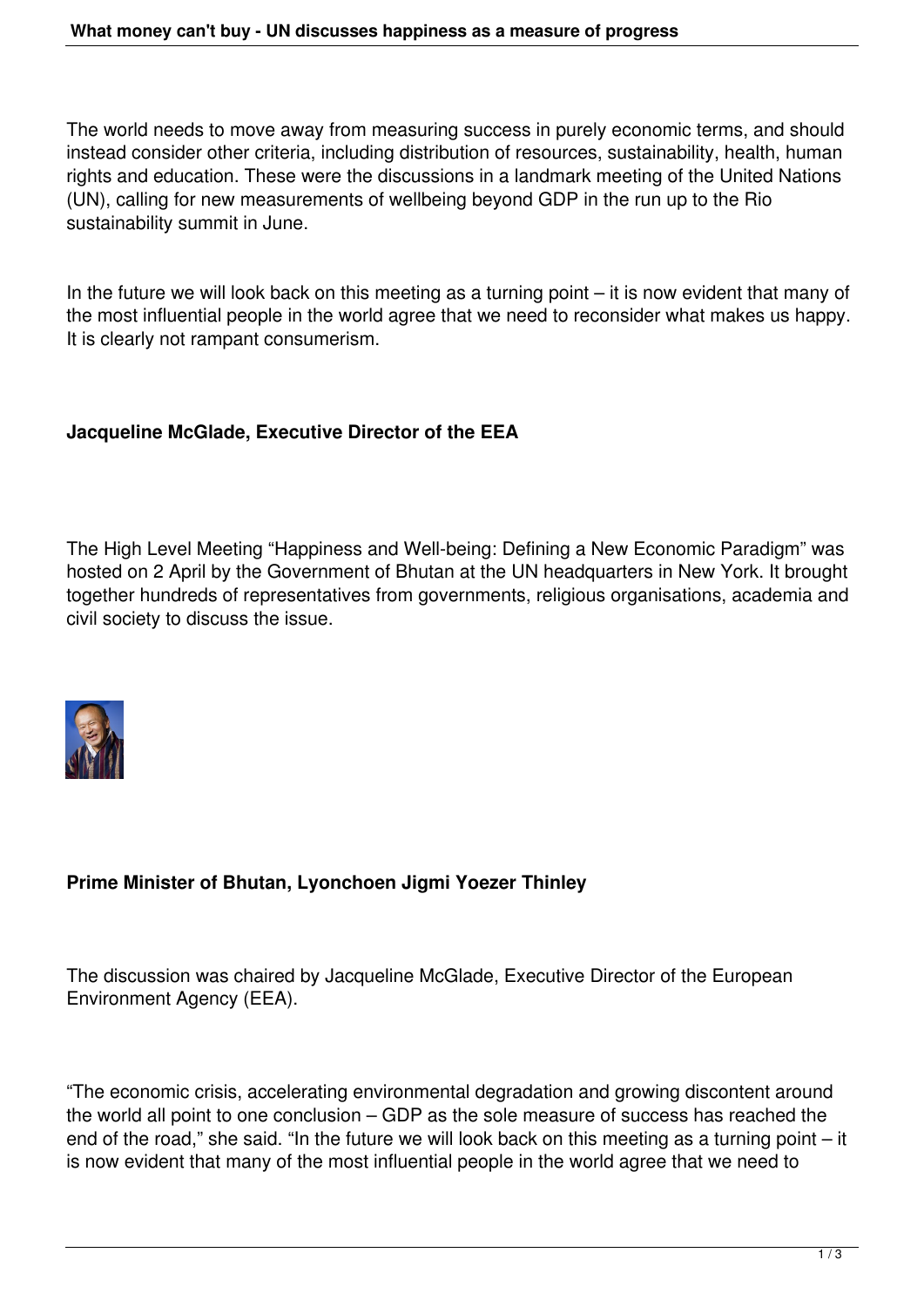The world needs to move away from measuring success in purely economic terms, and should instead consider other criteria, including distribution of resources, sustainability, health, human rights and education. These were the discussions in a landmark meeting of the United Nations (UN), calling for new measurements of wellbeing beyond GDP in the run up to the Rio sustainability summit in June.

In the future we will look back on this meeting as a turning point – it is now evident that many of the most influential people in the world agree that we need to reconsider what makes us happy. It is clearly not rampant consumerism.

## **Jacqueline McGlade, Executive Director of the EEA**

The High Level Meeting "Happiness and Well-being: Defining a New Economic Paradigm" was hosted on 2 April by the Government of Bhutan at the UN headquarters in New York. It brought together hundreds of representatives from governments, religious organisations, academia and civil society to discuss the issue.



## **Prime Minister of Bhutan, Lyonchoen Jigmi Yoezer Thinley**

The discussion was chaired by Jacqueline McGlade, Executive Director of the European Environment Agency (EEA).

"The economic crisis, accelerating environmental degradation and growing discontent around the world all point to one conclusion – GDP as the sole measure of success has reached the end of the road," she said. "In the future we will look back on this meeting as a turning point – it is now evident that many of the most influential people in the world agree that we need to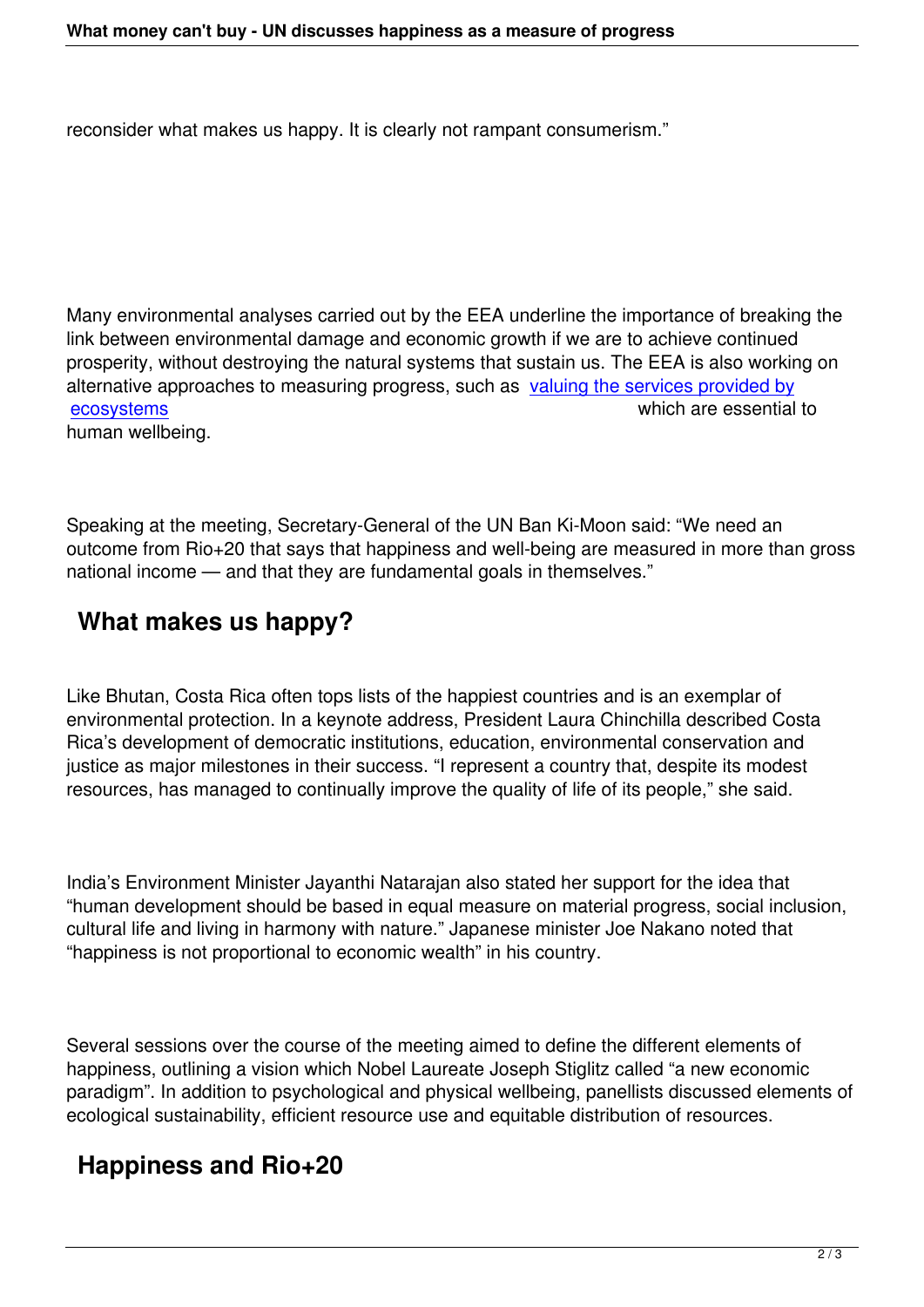reconsider what makes us happy. It is clearly not rampant consumerism."

Many environmental analyses carried out by the EEA underline the importance of breaking the link between environmental damage and economic growth if we are to achieve continued prosperity, without destroying the natural systems that sustain us. The EEA is also working on alternative approaches to measuring progress, such as valuing the services provided by ecosystems which are essential to human wellbeing.

Speaking at the meeting, Secretary-General of the UN Ban Ki-Moon said: "We need an outcome from Rio+20 that says that happiness and well-being are measured in more than gross national income — and that they are fundamental goals in themselves."

## **What makes us happy?**

Like Bhutan, Costa Rica often tops lists of the happiest countries and is an exemplar of environmental protection. In a keynote address, President Laura Chinchilla described Costa Rica's development of democratic institutions, education, environmental conservation and justice as major milestones in their success. "I represent a country that, despite its modest resources, has managed to continually improve the quality of life of its people," she said.

India's Environment Minister Jayanthi Natarajan also stated her support for the idea that "human development should be based in equal measure on material progress, social inclusion, cultural life and living in harmony with nature." Japanese minister Joe Nakano noted that "happiness is not proportional to economic wealth" in his country.

Several sessions over the course of the meeting aimed to define the different elements of happiness, outlining a vision which Nobel Laureate Joseph Stiglitz called "a new economic paradigm". In addition to psychological and physical wellbeing, panellists discussed elements of ecological sustainability, efficient resource use and equitable distribution of resources.

## **Happiness and Rio+20**